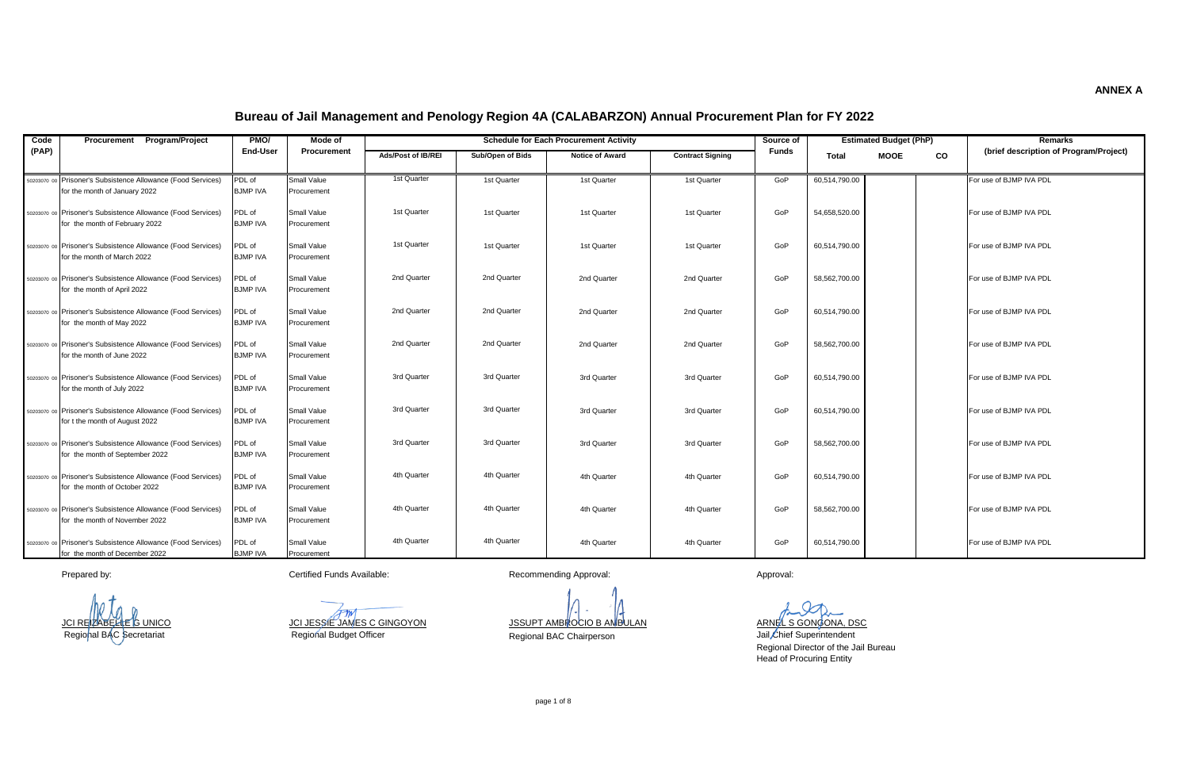| Code  | Procurement Program/Project                                                                     | PMO/                      | Mode of                    |                           |                  | <b>Schedule for Each Procurement Activity</b> |                         | Source of    |               | <b>Estimated Budget (PhP)</b> |    | <b>Remarks</b>                         |
|-------|-------------------------------------------------------------------------------------------------|---------------------------|----------------------------|---------------------------|------------------|-----------------------------------------------|-------------------------|--------------|---------------|-------------------------------|----|----------------------------------------|
| (PAP) |                                                                                                 | <b>End-User</b>           | Procurement                | <b>Ads/Post of IB/REI</b> | Sub/Open of Bids | <b>Notice of Award</b>                        | <b>Contract Signing</b> | <b>Funds</b> | Total         | <b>MOOE</b>                   | CO | (brief description of Program/Project) |
|       | 50203070 00 Prisoner's Subsistence Allowance (Food Services)<br>for the month of January 2022   | PDL of<br><b>BJMP IVA</b> | Small Value<br>Procurement | 1st Quarter               | 1st Quarter      | 1st Quarter                                   | 1st Quarter             | GoP          | 60,514,790.00 |                               |    | For use of BJMP IVA PDL                |
|       | 50203070 00 Prisoner's Subsistence Allowance (Food Services)<br>for the month of February 2022  | PDL of<br><b>BJMP IVA</b> | Small Value<br>Procurement | 1st Quarter               | 1st Quarter      | 1st Quarter                                   | 1st Quarter             | GoP          | 54.658.520.00 |                               |    | For use of BJMP IVA PDL                |
|       | 50203070 00 Prisoner's Subsistence Allowance (Food Services)<br>for the month of March 2022     | PDL of<br><b>BJMP IVA</b> | Small Value<br>Procurement | 1st Quarter               | 1st Quarter      | 1st Quarter                                   | 1st Quarter             | GoP          | 60.514.790.00 |                               |    | For use of BJMP IVA PDL                |
|       | 50203070 00 Prisoner's Subsistence Allowance (Food Services)<br>for the month of April 2022     | PDL of<br><b>BJMP IVA</b> | Small Value<br>Procurement | 2nd Quarter               | 2nd Quarter      | 2nd Quarter                                   | 2nd Quarter             | GoP          | 58,562,700.00 |                               |    | For use of BJMP IVA PDL                |
|       | 50203070 00 Prisoner's Subsistence Allowance (Food Services)<br>for the month of May 2022       | PDL of<br><b>BJMP IVA</b> | Small Value<br>Procurement | 2nd Quarter               | 2nd Quarter      | 2nd Quarter                                   | 2nd Quarter             | GoP          | 60.514.790.00 |                               |    | For use of BJMP IVA PDL                |
|       | 50203070 00 Prisoner's Subsistence Allowance (Food Services)<br>for the month of June 2022      | PDL of<br><b>BJMP IVA</b> | Small Value<br>Procurement | 2nd Quarter               | 2nd Quarter      | 2nd Quarter                                   | 2nd Quarter             | GoP          | 58,562,700.00 |                               |    | For use of BJMP IVA PDL                |
|       | 50203070 00 Prisoner's Subsistence Allowance (Food Services)<br>for the month of July 2022      | PDL of<br><b>BJMP IVA</b> | Small Value<br>Procurement | 3rd Quarter               | 3rd Quarter      | 3rd Quarter                                   | 3rd Quarter             | GoP          | 60.514.790.00 |                               |    | For use of BJMP IVA PDL                |
|       | 50203070 00 Prisoner's Subsistence Allowance (Food Services)<br>for t the month of August 2022  | PDL of<br><b>BJMP IVA</b> | Small Value<br>Procurement | 3rd Quarter               | 3rd Quarter      | 3rd Quarter                                   | 3rd Quarter             | GoP          | 60,514,790.00 |                               |    | For use of BJMP IVA PDL                |
|       | 50203070 00 Prisoner's Subsistence Allowance (Food Services)<br>for the month of September 2022 | PDL of<br><b>BJMP IVA</b> | Small Value<br>Procurement | 3rd Quarter               | 3rd Quarter      | 3rd Quarter                                   | 3rd Quarter             | GoP          | 58.562.700.00 |                               |    | For use of BJMP IVA PDL                |
|       | 50203070 00 Prisoner's Subsistence Allowance (Food Services)<br>for the month of October 2022   | PDL of<br><b>BJMP IVA</b> | Small Value<br>Procurement | 4th Quarter               | 4th Quarter      | 4th Quarter                                   | 4th Quarter             | GoP          | 60,514,790.00 |                               |    | For use of BJMP IVA PDL                |
|       | 50203070 00 Prisoner's Subsistence Allowance (Food Services)<br>for the month of November 2022  | PDL of<br><b>BJMP IVA</b> | Small Value<br>Procurement | 4th Quarter               | 4th Quarter      | 4th Quarter                                   | 4th Quarter             | GoP          | 58.562.700.00 |                               |    | For use of BJMP IVA PDL                |
|       | 50203070 00 Prisoner's Subsistence Allowance (Food Services)<br>for the month of December 2022  | PDL of<br><b>BJMP IVA</b> | Small Value<br>Procurement | 4th Quarter               | 4th Quarter      | 4th Quarter                                   | 4th Quarter             | GoP          | 60,514,790.00 |                               |    | For use of BJMP IVA PDL                |

Regional Budget Officer

Prepared by: example of the Certified Funds Available: Certified Funds Available: Recommending Approval: Approval: Approval:

JCI REIZABELLE G UNICO JCI JESSIE JAMES C GINGOYON JSSUPT AMBROCIO B AMBULAN ARNEL S GONGONA, DSC

Secretariat **Regional Budget Officer** Medicines are Regional BAC Chairperson

Head of Procuring Entity Jail Chief Superintendent Regional Director of the Jail Bureau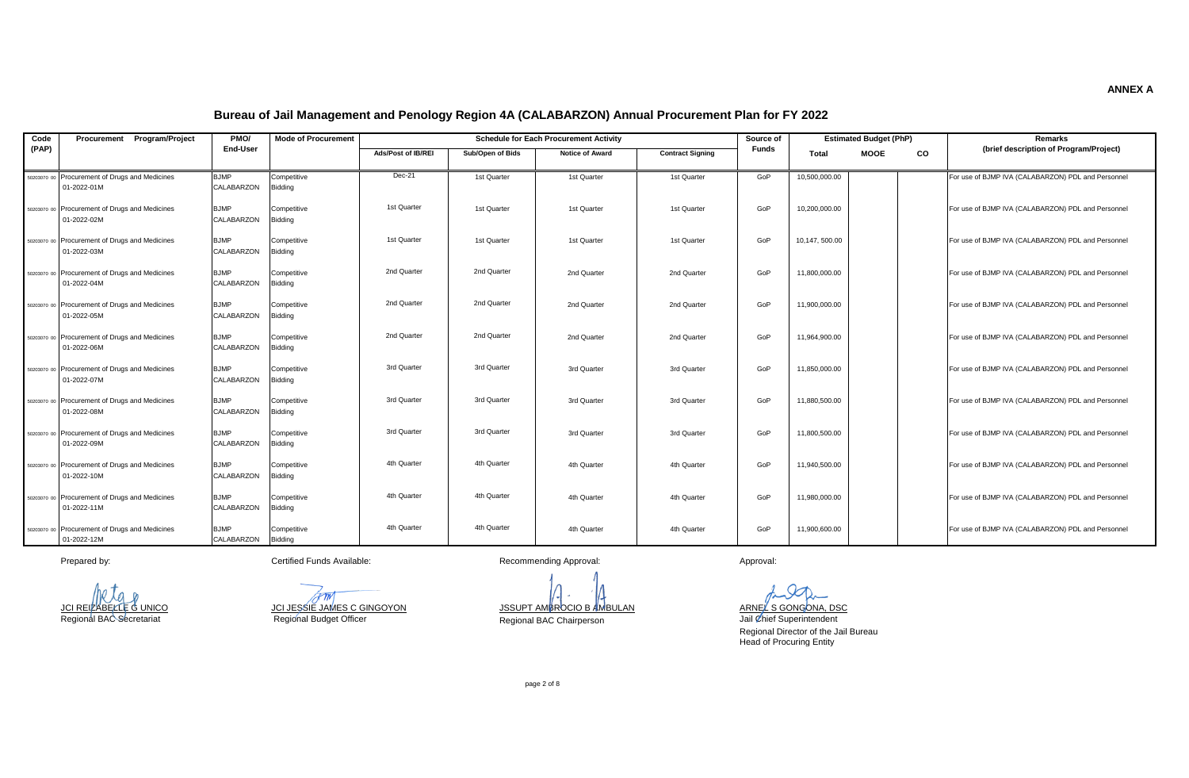| Code  | Procurement Program/Project                                   | PMO/                      | <b>Mode of Procurement</b> |                    |                  | <b>Schedule for Each Procurement Activity</b> |                         | Source of    |               | <b>Estimated Budget (PhP)</b> |    | Remarks                                            |
|-------|---------------------------------------------------------------|---------------------------|----------------------------|--------------------|------------------|-----------------------------------------------|-------------------------|--------------|---------------|-------------------------------|----|----------------------------------------------------|
| (PAP) |                                                               | End-User                  |                            | Ads/Post of IB/REI | Sub/Open of Bids | <b>Notice of Award</b>                        | <b>Contract Signing</b> | <b>Funds</b> | Total         | <b>MOOE</b>                   | CO | (brief description of Program/Project)             |
|       | 50203070 00 Procurement of Drugs and Medicines                | <b>BJMP</b>               | Competitive                | Dec-21             | 1st Quarter      | 1st Quarter                                   | 1st Quarter             | GoP          | 10,500,000.00 |                               |    | For use of BJMP IVA (CALABARZON) PDL and Personnel |
|       | 01-2022-01M                                                   | CALABARZON                | Bidding                    |                    |                  |                                               |                         |              |               |                               |    |                                                    |
|       | 50203070 00 Procurement of Drugs and Medicines<br>01-2022-02M | <b>BJMP</b><br>CALABARZON | Competitive<br>Bidding     | 1st Quarter        | 1st Quarter      | 1st Quarter                                   | 1st Quarter             | GoP          | 10.200.000.00 |                               |    | For use of BJMP IVA (CALABARZON) PDL and Personnel |
|       | 50203070 00 Procurement of Drugs and Medicines<br>01-2022-03M | <b>BJMP</b><br>CALABARZON | Competitive<br>Bidding     | 1st Quarter        | 1st Quarter      | 1st Quarter                                   | 1st Quarter             | GoP          | 10,147,500.00 |                               |    | For use of BJMP IVA (CALABARZON) PDL and Personnel |
|       | 50203070 00 Procurement of Drugs and Medicines<br>01-2022-04M | <b>BJMP</b><br>CALABARZON | Competitive<br>Bidding     | 2nd Quarter        | 2nd Quarter      | 2nd Quarter                                   | 2nd Quarter             | GoP          | 11,800,000.00 |                               |    | For use of BJMP IVA (CALABARZON) PDL and Personnel |
|       | 50203070 00 Procurement of Drugs and Medicines<br>01-2022-05M | <b>BJMP</b><br>CALABARZON | Competitive<br>Bidding     | 2nd Quarter        | 2nd Quarter      | 2nd Quarter                                   | 2nd Quarter             | GoP          | 11,900,000.00 |                               |    | For use of BJMP IVA (CALABARZON) PDL and Personnel |
|       | 50203070 00 Procurement of Drugs and Medicines<br>01-2022-06M | <b>BJMP</b><br>CALABARZON | Competitive<br>Bidding     | 2nd Quarter        | 2nd Quarter      | 2nd Quarter                                   | 2nd Quarter             | GoP          | 11.964.900.00 |                               |    | For use of BJMP IVA (CALABARZON) PDL and Personnel |
|       | 50203070 00 Procurement of Drugs and Medicines<br>01-2022-07M | <b>BJMP</b><br>CALABARZON | Competitive<br>Bidding     | 3rd Quarter        | 3rd Quarter      | 3rd Quarter                                   | 3rd Quarter             | GoP          | 11,850,000.00 |                               |    | For use of BJMP IVA (CALABARZON) PDL and Personnel |
|       | 50203070 00 Procurement of Drugs and Medicines<br>01-2022-08M | <b>BJMP</b><br>CALABARZON | Competitive<br>Bidding     | 3rd Quarter        | 3rd Quarter      | 3rd Quarter                                   | 3rd Quarter             | GoP          | 11,880,500.00 |                               |    | For use of BJMP IVA (CALABARZON) PDL and Personnel |
|       | 50203070 00 Procurement of Drugs and Medicines<br>01-2022-09M | <b>BJMP</b><br>CALABARZON | Competitive<br>Biddina     | 3rd Quarter        | 3rd Quarter      | 3rd Quarter                                   | 3rd Quarter             | GoP          | 11,800,500.00 |                               |    | For use of BJMP IVA (CALABARZON) PDL and Personnel |
|       | 50203070 00 Procurement of Drugs and Medicines<br>01-2022-10M | <b>BJMP</b><br>CALABARZON | Competitive<br>Bidding     | 4th Quarter        | 4th Quarter      | 4th Quarter                                   | 4th Quarter             | GoP          | 11.940.500.00 |                               |    | For use of BJMP IVA (CALABARZON) PDL and Personnel |
|       | 50203070 00 Procurement of Drugs and Medicines<br>01-2022-11M | <b>BJMP</b><br>CALABARZON | Competitive<br>Bidding     | 4th Quarter        | 4th Quarter      | 4th Quarter                                   | 4th Quarter             | GoP          | 11,980,000.00 |                               |    | For use of BJMP IVA (CALABARZON) PDL and Personnel |
|       | 50203070 00 Procurement of Drugs and Medicines<br>01-2022-12M | <b>BJMP</b><br>CALABARZON | Competitive<br>Bidding     | 4th Quarter        | 4th Quarter      | 4th Quarter                                   | 4th Quarter             | GoP          | 11,900,600.00 |                               |    | For use of BJMP IVA (CALABARZON) PDL and Personnel |

Prepared by: example of the Certified Funds Available: Recommending Approval: Approval: Approval: Approval:

Regional Budget Officer

<u>JCI REIZABELLE G UNICO SANTELLE SUNICO DE SSIE JAMES C GINGOYON JESUPT AMBROCIO B AMBULAN ARNEL S GONGONA, DSC<br>Regional BAC Secretariat Regional Budget Officer (Regional Budget Officer Secretariat Dail Chief Superintenden</u>

Regional BAC Chairperson

Jail Chief Superintendent

Regional Director of the Jail Bureau Head of Procuring Entity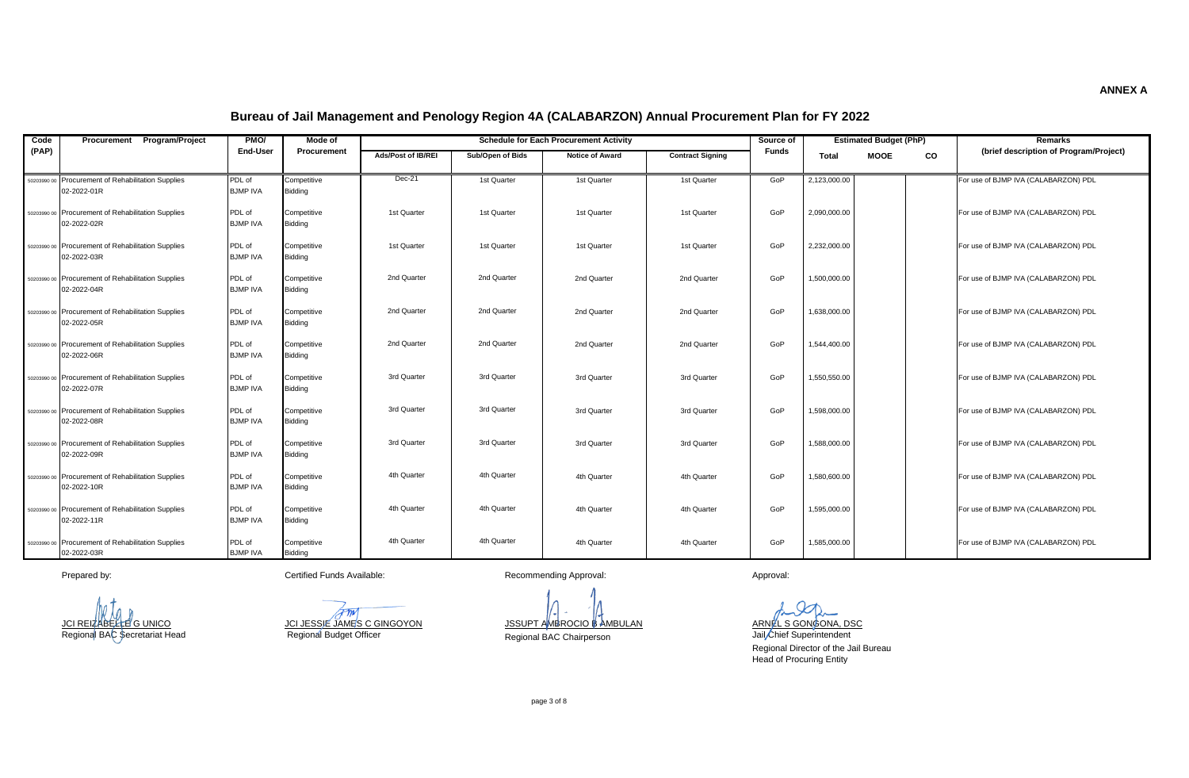| Code  | <b>Program/Project</b><br>Procurement                             | PMO/                      | Mode of                       |                           |                  | <b>Schedule for Each Procurement Activity</b> |                         | Source of    |              | <b>Estimated Budget (PhP)</b> |           | Remarks                                |
|-------|-------------------------------------------------------------------|---------------------------|-------------------------------|---------------------------|------------------|-----------------------------------------------|-------------------------|--------------|--------------|-------------------------------|-----------|----------------------------------------|
| (PAP) |                                                                   | End-User                  | Procurement                   | <b>Ads/Post of IB/REI</b> | Sub/Open of Bids | <b>Notice of Award</b>                        | <b>Contract Signing</b> | <b>Funds</b> | <b>Total</b> | <b>MOOE</b>                   | <b>CO</b> | (brief description of Program/Project) |
|       | 50203990 00 Procurement of Rehabilitation Supplies<br>02-2022-01R | PDL of<br><b>BJMP IVA</b> | Competitive<br><b>Bidding</b> | $Dec-21$                  | 1st Quarter      | 1st Quarter                                   | 1st Quarter             | GoP          | 2,123,000.00 |                               |           | For use of BJMP IVA (CALABARZON) PDL   |
|       | 50203990 00 Procurement of Rehabilitation Supplies<br>02-2022-02R | PDL of<br><b>BJMP IVA</b> | Competitive<br>Bidding        | 1st Quarter               | 1st Quarter      | 1st Quarter                                   | 1st Quarter             | GoP          | 2.090.000.00 |                               |           | For use of BJMP IVA (CALABARZON) PDL   |
|       | 50203990 00 Procurement of Rehabilitation Supplies<br>02-2022-03R | PDL of<br><b>BJMP IVA</b> | Competitive<br><b>Bidding</b> | 1st Quarter               | 1st Quarter      | 1st Quarter                                   | 1st Quarter             | GoP          | 2.232.000.00 |                               |           | For use of BJMP IVA (CALABARZON) PDL   |
|       | 50203990 00 Procurement of Rehabilitation Supplies<br>02-2022-04R | PDL of<br><b>BJMP IVA</b> | Competitive<br><b>Bidding</b> | 2nd Quarter               | 2nd Quarter      | 2nd Quarter                                   | 2nd Quarter             | GoP          | 1,500,000.00 |                               |           | For use of BJMP IVA (CALABARZON) PDL   |
|       | 50203990 00 Procurement of Rehabilitation Supplies<br>02-2022-05R | PDL of<br><b>BJMP IVA</b> | Competitive<br><b>Bidding</b> | 2nd Quarter               | 2nd Quarter      | 2nd Quarter                                   | 2nd Quarter             | GoP          | 1.638.000.00 |                               |           | For use of BJMP IVA (CALABARZON) PDL   |
|       | 50203990 00 Procurement of Rehabilitation Supplies<br>02-2022-06R | PDL of<br><b>BJMP IVA</b> | Competitive<br>Bidding        | 2nd Quarter               | 2nd Quarter      | 2nd Quarter                                   | 2nd Quarter             | GoP          | 1.544.400.00 |                               |           | For use of BJMP IVA (CALABARZON) PDL   |
|       | 50203990 00 Procurement of Rehabilitation Supplies<br>02-2022-07R | PDL of<br><b>BJMP IVA</b> | Competitive<br>Biddina        | 3rd Quarter               | 3rd Quarter      | 3rd Quarter                                   | 3rd Quarter             | GoP          | 1.550.550.00 |                               |           | For use of BJMP IVA (CALABARZON) PDL   |
|       | 50203990 00 Procurement of Rehabilitation Supplies<br>02-2022-08R | PDL of<br><b>BJMP IVA</b> | Competitive<br><b>Bidding</b> | 3rd Quarter               | 3rd Quarter      | 3rd Quarter                                   | 3rd Quarter             | GoP          | 1.598.000.00 |                               |           | For use of BJMP IVA (CALABARZON) PDL   |
|       | 50203990 00 Procurement of Rehabilitation Supplies<br>02-2022-09R | PDL of<br><b>BJMP IVA</b> | Competitive<br><b>Bidding</b> | 3rd Quarter               | 3rd Quarter      | 3rd Quarter                                   | 3rd Quarter             | GoP          | 1,588,000.00 |                               |           | For use of BJMP IVA (CALABARZON) PDL   |
|       | 50203990 00 Procurement of Rehabilitation Supplies<br>02-2022-10R | PDL of<br><b>BJMP IVA</b> | Competitive<br><b>Bidding</b> | 4th Quarter               | 4th Quarter      | 4th Quarter                                   | 4th Quarter             | GoP          | 1.580.600.00 |                               |           | For use of BJMP IVA (CALABARZON) PDL   |
|       | 50203990 00 Procurement of Rehabilitation Supplies<br>02-2022-11R | PDL of<br><b>BJMP IVA</b> | Competitive<br><b>Bidding</b> | 4th Quarter               | 4th Quarter      | 4th Quarter                                   | 4th Quarter             | GoP          | 1.595.000.00 |                               |           | For use of BJMP IVA (CALABARZON) PDL   |
|       | 50203990 00 Procurement of Rehabilitation Supplies<br>02-2022-03R | PDL of<br><b>BJMP IVA</b> | Competitive<br><b>Bidding</b> | 4th Quarter               | 4th Quarter      | 4th Quarter                                   | 4th Quarter             | GoP          | 1,585,000.00 |                               |           | For use of BJMP IVA (CALABARZON) PDL   |

Prepared by: example and the Certified Funds Available: Recommending Approval: Approval: Approval: Approval:

Pm JCI JESSIE JAMES C GINGOYON JSSUPT AMBROCIO B AMBULAN ARNEL S GONGONA, DSC Regional BAC Secretariat Head Regional BAC Chairperson Regional Budget Officer

Jail Chief Superintendent Regional Director of the Jail Bureau Head of Procuring Entity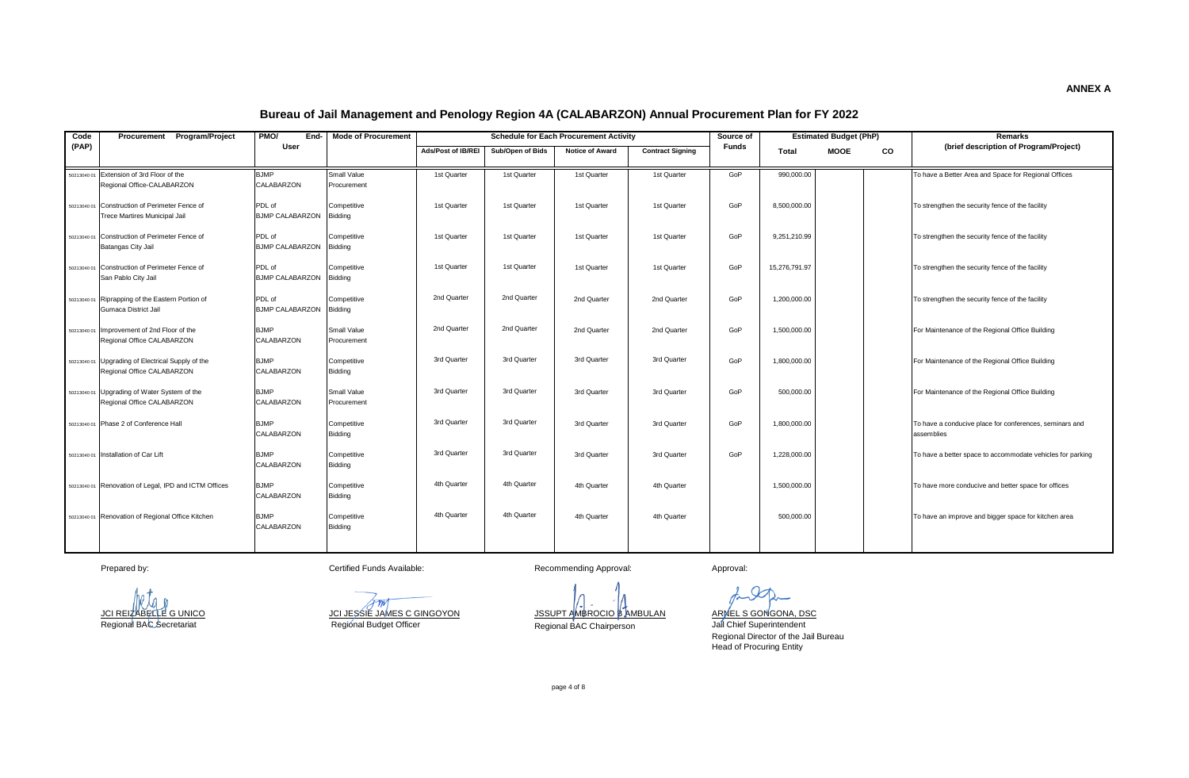| Code        | Procurement Program/Project                                                     | PMO/<br>End-                      | <b>Mode of Procurement</b> |                    |                  | <b>Schedule for Each Procurement Activity</b> |                         | Source of    |               | <b>Estimated Budget (PhP)</b> |           | Remarks                                                               |
|-------------|---------------------------------------------------------------------------------|-----------------------------------|----------------------------|--------------------|------------------|-----------------------------------------------|-------------------------|--------------|---------------|-------------------------------|-----------|-----------------------------------------------------------------------|
| (PAP)       |                                                                                 | User                              |                            | Ads/Post of IB/REI | Sub/Open of Bids | <b>Notice of Award</b>                        | <b>Contract Signing</b> | <b>Funds</b> | Total         | <b>MOOE</b>                   | <b>CO</b> | (brief description of Program/Project)                                |
| 50213040 01 | Extension of 3rd Floor of the<br>Regional Office-CALABARZON                     | <b>BJMP</b><br>CALABARZON         | Small Value<br>Procurement | 1st Quarter        | 1st Quarter      | 1st Quarter                                   | 1st Quarter             | GoP          | 990,000.00    |                               |           | To have a Better Area and Space for Regional Offices                  |
|             | 50213040 01 Construction of Perimeter Fence of<br>Trece Martires Municipal Jail | PDL of<br>BJMP CALABARZON Bidding | Competitive                | 1st Quarter        | 1st Quarter      | 1st Quarter                                   | 1st Quarter             | GoP          | 8,500,000.00  |                               |           | To strengthen the security fence of the facility                      |
|             | 50213040.01 Construction of Perimeter Fence of<br>Batangas City Jail            | PDL of<br>BJMP CALABARZON Bidding | Competitive                | 1st Quarter        | 1st Quarter      | 1st Quarter                                   | 1st Quarter             | GoP          | 9,251,210.99  |                               |           | To strengthen the security fence of the facility                      |
|             | 50213040 01 Construction of Perimeter Fence of<br>San Pablo City Jail           | PDL of<br><b>BJMP CALABARZON</b>  | Competitive<br>Bidding     | 1st Quarter        | 1st Quarter      | 1st Quarter                                   | 1st Quarter             | GoP          | 15,276,791.97 |                               |           | To strengthen the security fence of the facility                      |
|             | 50213040 01 Riprapping of the Eastern Portion of<br>Gumaca District Jail        | PDL of<br>BJMP CALABARZON Bidding | Competitive                | 2nd Quarter        | 2nd Quarter      | 2nd Quarter                                   | 2nd Quarter             | GoP          | 1,200,000.00  |                               |           | To strengthen the security fence of the facility                      |
|             | 50213040 01 Improvement of 2nd Floor of the<br>Regional Office CALABARZON       | <b>BJMP</b><br>CALABARZON         | Small Value<br>Procurement | 2nd Quarter        | 2nd Quarter      | 2nd Quarter                                   | 2nd Quarter             | GoP          | 1,500,000.00  |                               |           | For Maintenance of the Regional Office Building                       |
|             | 50213040 01 Upgrading of Electrical Supply of the<br>Regional Office CALABARZON | <b>BJMP</b><br>CALABARZON         | Competitive<br>Bidding     | 3rd Quarter        | 3rd Quarter      | 3rd Quarter                                   | 3rd Quarter             | GoP          | 1.800.000.00  |                               |           | For Maintenance of the Regional Office Building                       |
|             | 50213040 01 Upgrading of Water System of the<br>Regional Office CALABARZON      | <b>BJMP</b><br>CALABARZON         | Small Value<br>Procurement | 3rd Quarter        | 3rd Quarter      | 3rd Quarter                                   | 3rd Quarter             | GoP          | 500,000.00    |                               |           | For Maintenance of the Regional Office Building                       |
|             | 50213040 01 Phase 2 of Conference Hall                                          | <b>BJMP</b><br>CALABARZON         | Competitive<br>Bidding     | 3rd Quarter        | 3rd Quarter      | 3rd Quarter                                   | 3rd Quarter             | GoP          | 1,800,000.00  |                               |           | To have a conducive place for conferences, seminars and<br>assemblies |
|             | 50213040 01 Installation of Car Lift                                            | <b>BJMP</b><br>CALABARZON         | Competitive<br>Bidding     | 3rd Quarter        | 3rd Quarter      | 3rd Quarter                                   | 3rd Quarter             | GoP          | 1,228,000.00  |                               |           | To have a better space to accommodate vehicles for parking            |
|             | 50213040 01 Renovation of Legal, IPD and ICTM Offices                           | <b>BJMP</b><br>CALABARZON         | Competitive<br>Bidding     | 4th Quarter        | 4th Quarter      | 4th Quarter                                   | 4th Quarter             |              | 1.500.000.00  |                               |           | To have more conducive and better space for offices                   |
|             | 50213040 01 Renovation of Regional Office Kitchen                               | <b>BJMP</b><br>CALABARZON         | Competitive<br>Bidding     | 4th Quarter        | 4th Quarter      | 4th Quarter                                   | 4th Quarter             |              | 500,000.00    |                               |           | To have an improve and bigger space for kitchen area                  |
|             |                                                                                 |                                   |                            |                    |                  |                                               |                         |              |               |                               |           |                                                                       |

Prepared by: Certified Funds Available: Recommending Approval: Approval: Approval: Approval:

⁄r m/

JCI REIZABELLE G UNICO JCI JESSIE JAMES C GINGOYON JSSUPT AMBROCIO B AMBULAN ARNEL S GONGONA, DSC Regional BAC Secretariat Regional BAC Chairperson Regional Budget Officer

ARMEL S GONGONA, DSC<br>Jail Chief Superintendent Regional Director of the Jail Bureau Head of Procuring Entity

page 4 of 8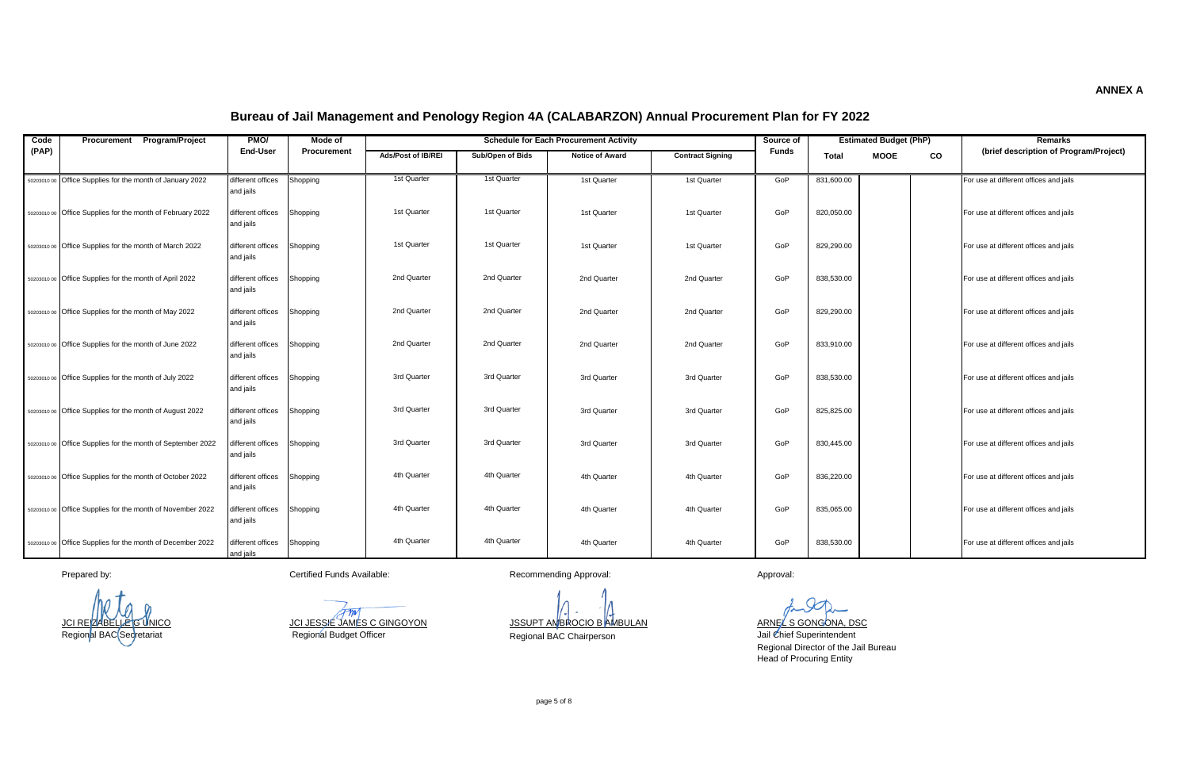| Code  | Procurement Program/Project                                 | PMO/                           | Mode of     |                           |                  | <b>Schedule for Each Procurement Activity</b> |                         | Source of    |              | <b>Estimated Budget (PhP)</b> |    | Remarks                                |
|-------|-------------------------------------------------------------|--------------------------------|-------------|---------------------------|------------------|-----------------------------------------------|-------------------------|--------------|--------------|-------------------------------|----|----------------------------------------|
| (PAP) |                                                             | <b>End-User</b>                | Procurement | <b>Ads/Post of IB/REI</b> | Sub/Open of Bids | <b>Notice of Award</b>                        | <b>Contract Signing</b> | <b>Funds</b> | <b>Total</b> | <b>MOOE</b>                   | CO | (brief description of Program/Project) |
|       | 50203010 00 Office Supplies for the month of January 2022   | different offices<br>and jails | Shopping    | 1st Quarter               | 1st Quarter      | 1st Quarter                                   | 1st Quarter             | GoP          | 831,600.00   |                               |    | For use at different offices and jails |
|       | 50203010 00 Office Supplies for the month of February 2022  | different offices<br>and jails | Shopping    | 1st Quarter               | 1st Quarter      | 1st Quarter                                   | 1st Quarter             | GoP          | 820.050.00   |                               |    | For use at different offices and jails |
|       | 50203010 00 Office Supplies for the month of March 2022     | different offices<br>and jails | Shopping    | 1st Quarter               | 1st Quarter      | 1st Quarter                                   | 1st Quarter             | GoP          | 829.290.00   |                               |    | For use at different offices and jails |
|       | 50203010 00 Office Supplies for the month of April 2022     | different offices<br>and jails | Shopping    | 2nd Quarter               | 2nd Quarter      | 2nd Quarter                                   | 2nd Quarter             | GoP          | 838,530.00   |                               |    | For use at different offices and jails |
|       | 50203010 00 Office Supplies for the month of May 2022       | different offices<br>and jails | Shopping    | 2nd Quarter               | 2nd Quarter      | 2nd Quarter                                   | 2nd Quarter             | GoP          | 829,290.00   |                               |    | For use at different offices and jails |
|       | 50203010 00 Office Supplies for the month of June 2022      | different offices<br>and jails | Shopping    | 2nd Quarter               | 2nd Quarter      | 2nd Quarter                                   | 2nd Quarter             | GoP          | 833,910.00   |                               |    | For use at different offices and jails |
|       | 50203010 00 Office Supplies for the month of July 2022      | different offices<br>and jails | Shopping    | 3rd Quarter               | 3rd Quarter      | 3rd Quarter                                   | 3rd Quarter             | GoP          | 838,530.00   |                               |    | For use at different offices and jails |
|       | 50203010 00 Office Supplies for the month of August 2022    | different offices<br>and jails | Shopping    | 3rd Quarter               | 3rd Quarter      | 3rd Quarter                                   | 3rd Quarter             | GoP          | 825,825.00   |                               |    | For use at different offices and jails |
|       | 50203010 00 Office Supplies for the month of September 2022 | different offices<br>and jails | Shopping    | 3rd Quarter               | 3rd Quarter      | 3rd Quarter                                   | 3rd Quarter             | GoP          | 830,445.00   |                               |    | For use at different offices and jails |
|       | 50203010 00 Office Supplies for the month of October 2022   | different offices<br>and jails | Shopping    | 4th Quarter               | 4th Quarter      | 4th Quarter                                   | 4th Quarter             | GoP          | 836,220.00   |                               |    | For use at different offices and jails |
|       | 50203010 00 Office Supplies for the month of November 2022  | different offices<br>and jails | Shopping    | 4th Quarter               | 4th Quarter      | 4th Quarter                                   | 4th Quarter             | GoP          | 835,065.00   |                               |    | For use at different offices and jails |
|       | 50203010.00 Office Supplies for the month of December 2022  | different offices<br>and jails | Shopping    | 4th Quarter               | 4th Quarter      | 4th Quarter                                   | 4th Quarter             | GoP          | 838,530.00   |                               |    | For use at different offices and jails |

Regional Budget Officer

Prepared by: example and the Certified Funds Available: Certified Funds Available: Recommending Approval: Approval: Approval:

JCI REIZABELLE G UNICO JCI JESSIE JAMES C GINGOYON JSSUPT AMBROCIO B AMBULAN ARNEL S GONGONA, DSC

Regional BAC Secretariat Regional BAC Chairperson

Jail Chief Superintendent Regional Director of the Jail Bureau Head of Procuring Entity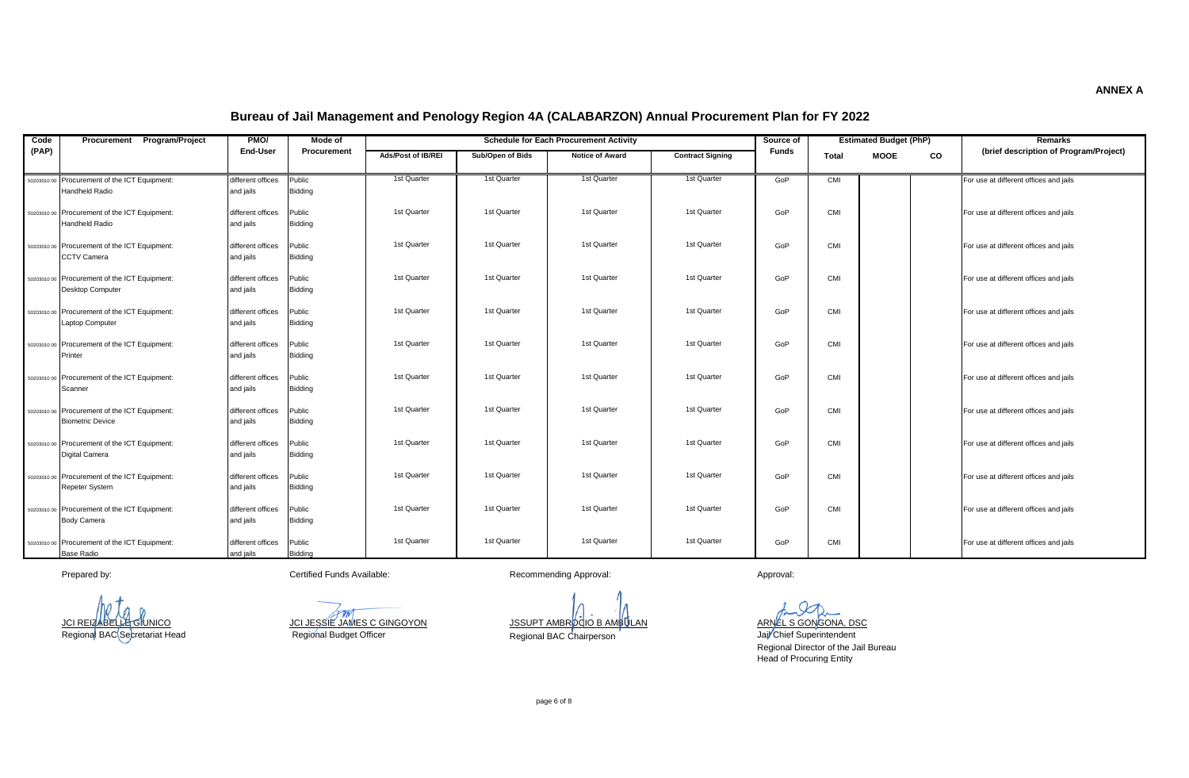| Code  | Program/Project<br>Procurement                                           | PMO/<br>Mode of                |                   |                    |                  | <b>Schedule for Each Procurement Activity</b> |                         | Source of    |            | <b>Estimated Budget (PhP)</b> |           | <b>Remarks</b>                         |
|-------|--------------------------------------------------------------------------|--------------------------------|-------------------|--------------------|------------------|-----------------------------------------------|-------------------------|--------------|------------|-------------------------------|-----------|----------------------------------------|
| (PAP) |                                                                          | End-User                       | Procurement       | Ads/Post of IB/REI | Sub/Open of Bids | <b>Notice of Award</b>                        | <b>Contract Signing</b> | <b>Funds</b> | Total      | <b>MOOE</b>                   | <b>CO</b> | (brief description of Program/Project) |
|       | 50203010 00 Procurement of the ICT Equipment:                            | different offices              | Public            | 1st Quarter        | 1st Quarter      | 1st Quarter                                   | 1st Quarter             | GoP          | <b>CMI</b> |                               |           | For use at different offices and jails |
|       | Handheld Radio                                                           | and jails                      | Bidding           |                    |                  |                                               |                         |              |            |                               |           |                                        |
|       | 50203010 00 Procurement of the ICT Equipment:<br>Handheld Radio          | different offices<br>and jails | Public<br>Bidding | 1st Quarter        | 1st Quarter      | 1st Quarter                                   | 1st Quarter             | GoP          | CMI        |                               |           | For use at different offices and jails |
|       | 50203010.00 Procurement of the ICT Equipment:<br><b>CCTV Camera</b>      | different offices<br>and jails | Public<br>Bidding | 1st Quarter        | 1st Quarter      | 1st Quarter                                   | 1st Quarter             | GoP          | CMI        |                               |           | For use at different offices and jails |
|       | 50203010.00 Procurement of the ICT Equipment:<br>Desktop Computer        | different offices<br>and jails | Public<br>Bidding | 1st Quarter        | 1st Quarter      | 1st Quarter                                   | 1st Quarter             | GoP          | CMI        |                               |           | For use at different offices and jails |
|       | 50203010 00 Procurement of the ICT Equipment:<br>Laptop Computer         | different offices<br>and jails | Public<br>Bidding | 1st Quarter        | 1st Quarter      | 1st Quarter                                   | 1st Quarter             | GoP          | CMI        |                               |           | For use at different offices and jails |
|       | 50203010.00 Procurement of the ICT Equipment:<br>Printer                 | different offices<br>and jails | Public<br>Bidding | 1st Quarter        | 1st Quarter      | 1st Quarter                                   | 1st Quarter             | GoP          | CMI        |                               |           | For use at different offices and jails |
|       | 50203010.00 Procurement of the ICT Equipment:<br>Scanner                 | different offices<br>and jails | Public<br>Bidding | 1st Quarter        | 1st Quarter      | 1st Quarter                                   | 1st Quarter             | GoP          | <b>CMI</b> |                               |           | For use at different offices and jails |
|       | 50203010 00 Procurement of the ICT Equipment:<br><b>Biometric Device</b> | different offices<br>and jails | Public<br>Bidding | 1st Quarter        | 1st Quarter      | 1st Quarter                                   | 1st Quarter             | GoP          | CMI        |                               |           | For use at different offices and jails |
|       | 50203010.00 Procurement of the ICT Equipment:<br><b>Digital Camera</b>   | different offices<br>and jails | Public<br>Bidding | 1st Quarter        | 1st Quarter      | 1st Quarter                                   | 1st Quarter             | GoP          | CMI        |                               |           | For use at different offices and jails |
|       | 50203010 00 Procurement of the ICT Equipment:<br><b>Repeter System</b>   | different offices<br>and jails | Public<br>Bidding | 1st Quarter        | 1st Quarter      | 1st Quarter                                   | 1st Quarter             | GoP          | CMI        |                               |           | For use at different offices and jails |
|       | 50203010 00 Procurement of the ICT Equipment:<br><b>Body Camera</b>      | different offices<br>and jails | Public<br>Bidding | 1st Quarter        | 1st Quarter      | 1st Quarter                                   | 1st Quarter             | GoP          | CMI        |                               |           | For use at different offices and jails |
|       | 50203010.00 Procurement of the ICT Equipment:<br><b>Base Radio</b>       | different offices<br>and jails | Public<br>Bidding | 1st Quarter        | 1st Quarter      | 1st Quarter                                   | 1st Quarter             | GoP          | CMI        |                               |           | For use at different offices and jails |

Regional Budget Officer

Prepared by: example and the Certified Funds Available: Certified Funds Available: Recommending Approval: Approval: Approval:

JCI REIZABELLE G UNICO JCI JESSIE JAMES C GINGOYON JSSUPT AMBROCIO B AMBULAN ARNEL S GONGONA, DSC Regional BAC Chairperson

Jail Chief Superintendent Regional Director of the Jail Bureau Head of Procuring Entity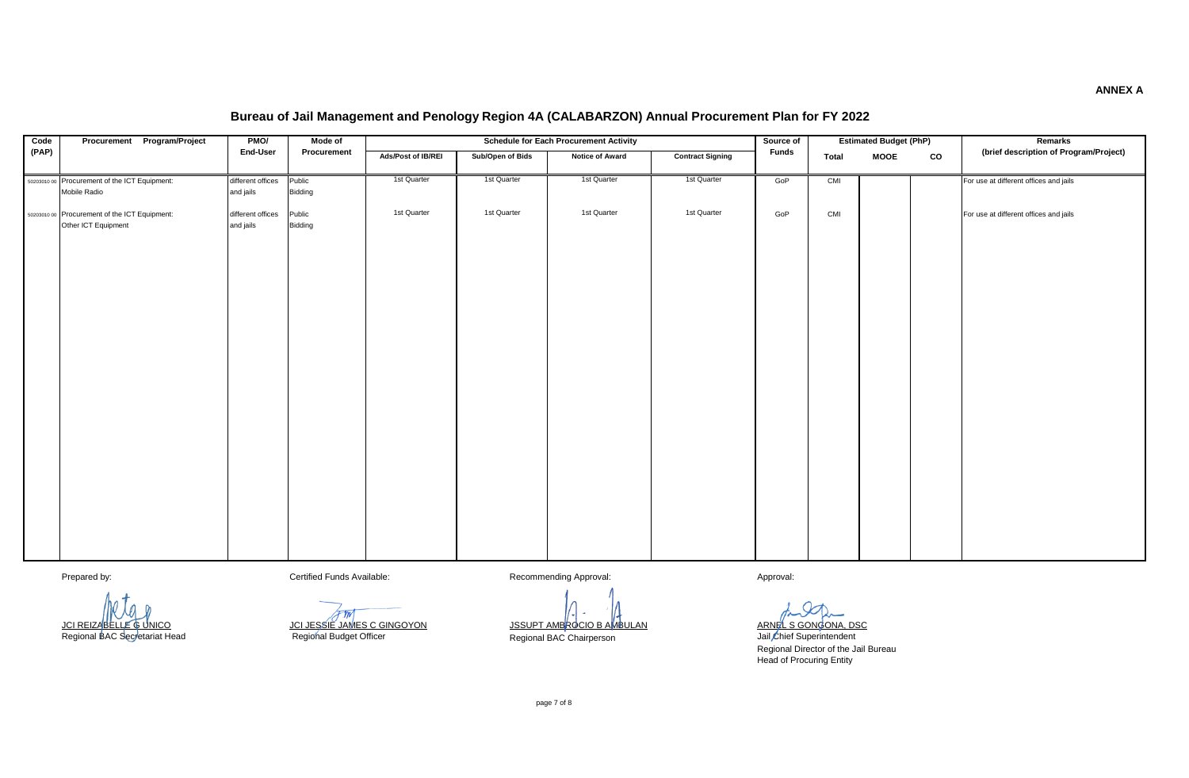| Code  | Procurement Program/Project                   | PMO/              | Mode of                    |                    |                  | <b>Schedule for Each Procurement Activity</b> |                         | Source of    |              | <b>Estimated Budget (PhP)</b> |    | Remarks                                |
|-------|-----------------------------------------------|-------------------|----------------------------|--------------------|------------------|-----------------------------------------------|-------------------------|--------------|--------------|-------------------------------|----|----------------------------------------|
| (PAP) |                                               | End-User          | Procurement                | Ads/Post of IB/REI | Sub/Open of Bids | <b>Notice of Award</b>                        | <b>Contract Signing</b> | <b>Funds</b> | <b>Total</b> | <b>MOOE</b>                   | CO | (brief description of Program/Project) |
|       |                                               |                   |                            |                    |                  |                                               |                         |              |              |                               |    |                                        |
|       | 50203010 00 Procurement of the ICT Equipment: | different offices | Public                     | 1st Quarter        | 1st Quarter      | 1st Quarter                                   | 1st Quarter             | GoP          | CMI          |                               |    | For use at different offices and jails |
|       | Mobile Radio                                  | and jails         | Bidding                    |                    |                  |                                               |                         |              |              |                               |    |                                        |
|       | 50203010 00 Procurement of the ICT Equipment: | different offices | Public                     | 1st Quarter        | 1st Quarter      | 1st Quarter                                   | 1st Quarter             | GoP          | CMI          |                               |    | For use at different offices and jails |
|       | Other ICT Equipment                           | and jails         | Bidding                    |                    |                  |                                               |                         |              |              |                               |    |                                        |
|       |                                               |                   |                            |                    |                  |                                               |                         |              |              |                               |    |                                        |
|       |                                               |                   |                            |                    |                  |                                               |                         |              |              |                               |    |                                        |
|       |                                               |                   |                            |                    |                  |                                               |                         |              |              |                               |    |                                        |
|       |                                               |                   |                            |                    |                  |                                               |                         |              |              |                               |    |                                        |
|       |                                               |                   |                            |                    |                  |                                               |                         |              |              |                               |    |                                        |
|       |                                               |                   |                            |                    |                  |                                               |                         |              |              |                               |    |                                        |
|       |                                               |                   |                            |                    |                  |                                               |                         |              |              |                               |    |                                        |
|       |                                               |                   |                            |                    |                  |                                               |                         |              |              |                               |    |                                        |
|       |                                               |                   |                            |                    |                  |                                               |                         |              |              |                               |    |                                        |
|       |                                               |                   |                            |                    |                  |                                               |                         |              |              |                               |    |                                        |
|       |                                               |                   |                            |                    |                  |                                               |                         |              |              |                               |    |                                        |
|       |                                               |                   |                            |                    |                  |                                               |                         |              |              |                               |    |                                        |
|       |                                               |                   |                            |                    |                  |                                               |                         |              |              |                               |    |                                        |
|       |                                               |                   |                            |                    |                  |                                               |                         |              |              |                               |    |                                        |
|       |                                               |                   |                            |                    |                  |                                               |                         |              |              |                               |    |                                        |
|       |                                               |                   |                            |                    |                  |                                               |                         |              |              |                               |    |                                        |
|       |                                               |                   |                            |                    |                  |                                               |                         |              |              |                               |    |                                        |
|       |                                               |                   |                            |                    |                  |                                               |                         |              |              |                               |    |                                        |
|       |                                               |                   |                            |                    |                  |                                               |                         |              |              |                               |    |                                        |
|       |                                               |                   |                            |                    |                  |                                               |                         |              |              |                               |    |                                        |
|       |                                               |                   |                            |                    |                  |                                               |                         |              |              |                               |    |                                        |
|       |                                               |                   |                            |                    |                  |                                               |                         |              |              |                               |    |                                        |
|       |                                               |                   |                            |                    |                  |                                               |                         |              |              |                               |    |                                        |
|       |                                               |                   |                            |                    |                  |                                               |                         |              |              |                               |    |                                        |
|       |                                               |                   |                            |                    |                  |                                               |                         |              |              |                               |    |                                        |
|       |                                               |                   |                            |                    |                  |                                               |                         |              |              |                               |    |                                        |
|       |                                               |                   |                            |                    |                  |                                               |                         |              |              |                               |    |                                        |
|       |                                               |                   |                            |                    |                  |                                               |                         |              |              |                               |    |                                        |
|       | Prepared by:                                  |                   | Certified Funds Available: |                    |                  | Recommending Approval:                        |                         | Approval:    |              |                               |    |                                        |

<u>JCI REIZABELLE GUNICO JOU SESSIE JAMES C GINGOYON JSSUPT AMBROCIO B AMBULAN ARNEL S GONGONA, DSC</u>

Regional BAC Secretariat Head **Regional Budget Officer** Regional Buchairperson **Budget Officer Regional Buchairperson** 

Regional Director of the Jail Bureau Head of Procuring Entity

page 7 of 8